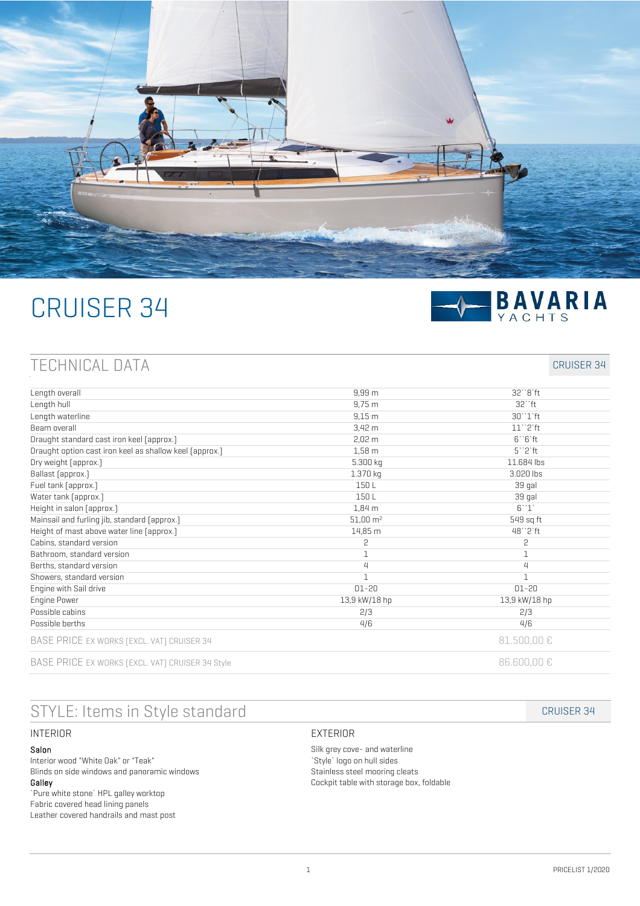

# CRUISER 34



## TECHNICAL DATA CRUISER 34

| Length overall                                          | $9,99 \, \text{m}$    | $32''8'$ ft                     |
|---------------------------------------------------------|-----------------------|---------------------------------|
| Length hull                                             | $9,75 \; m$           | $32$ "ft                        |
| Length waterline                                        | $9,15 \, m$           | $30''1'$ ft                     |
| Beam overall                                            | $3,42 \, m$           | $11$ " $2$ 'ft                  |
| Draught standard cast iron keel [approx.]               | $2,02 \, m$           | $6''6'$ ft                      |
| Draught option cast iron keel as shallow keel [approx.] | $1,58$ m              | $5^{\prime\prime}2^{\prime}$ ft |
| Dry weight [approx.]                                    | 5.300 kg              | 11.684 lbs                      |
| Ballast [approx.]                                       | 1.370 kg              | 3.020 lbs                       |
| Fuel tank [approx.]                                     | 150L                  | 39 gal                          |
| Water tank [approx.]                                    | 150L                  | 39 gal                          |
| Height in salon (approx.)                               | 1,84 m                | 6''1'                           |
| Mainsail and furling jib, standard [approx.]            | $51,00 \, \text{m}^2$ | 549 sq ft                       |
| Height of mast above water line [approx.]               | 14,85 m               | 48"2'ft                         |
| Cabins, standard version                                | 5                     | 2                               |
| Bathroom, standard version                              | 1                     | $1\,$                           |
| Berths, standard version                                | 4                     | $\overline{4}$                  |
| Showers, standard version                               | $\mathbf{1}$          | $\mathbf{1}$                    |
| Engine with Sail drive                                  | $D1-20$               | $D1-20$                         |
| <b>Engine Power</b>                                     | 13,9 kW/18 hp         | 13,9 kW/18 hp                   |
| Possible cabins                                         | 2/3                   | 2/3                             |
| Possible berths                                         | 4/6                   | 4/6                             |
| BASE PRICE EX WORKS [EXCL. VAT] CRUISER 34              |                       | 81.500,00 €                     |
| BASE PRICE EX WORKS [EXCL. VAT] CRUISER 34 Style        |                       | 86.600,00 €                     |

# STYLE: Items in Style standard CRUISER 34

#### INTERIOR

#### Salon

Interior wood "White Oak" or "Teak" Blinds on side windows and panoramic windows Galley

`Pure white stone` HPL galley worktop Fabric covered head lining panels Leather covered handrails and mast post

#### EXTERIOR

Silk grey cove- and waterline `Style` logo on hull sides Stainless steel mooring cleats Cockpit table with storage box, foldable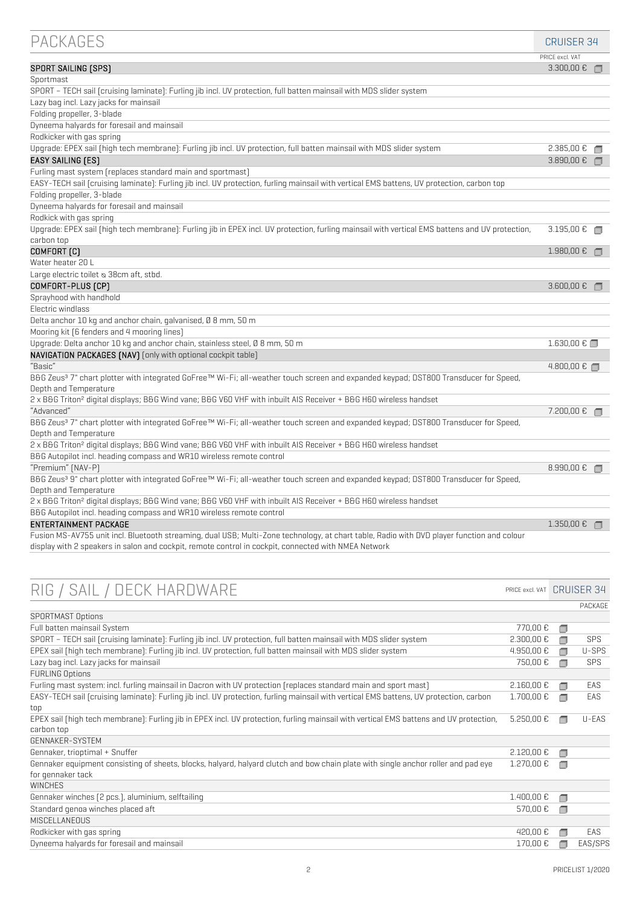| <b>PACKAGES</b>                                                                                                                                  | <b>CRUISER 34</b> |        |
|--------------------------------------------------------------------------------------------------------------------------------------------------|-------------------|--------|
|                                                                                                                                                  | PRICE excl. VAT   |        |
| SPORT SAILING [SPS]                                                                                                                              | 3.300,00 €        |        |
| Sportmast                                                                                                                                        |                   |        |
| SPORT - TECH sail (cruising laminate): Furling jib incl. UV protection, full batten mainsail with MDS slider system                              |                   |        |
| Lazy bag incl. Lazy jacks for mainsail                                                                                                           |                   |        |
| Folding propeller, 3-blade                                                                                                                       |                   |        |
| Dyneema halyards for foresail and mainsail                                                                                                       |                   |        |
| Rodkicker with gas spring                                                                                                                        |                   |        |
| Upgrade: EPEX sail [high tech membrane]: Furling jib incl. UV protection, full batten mainsail with MDS slider system                            | 2.385,00 €        | ∩      |
| <b>EASY SAILING [ES]</b>                                                                                                                         | $3.890,00$ € □    |        |
| Furling mast system [replaces standard main and sportmast]                                                                                       |                   |        |
| EASY-TECH sail (cruising laminate): Furling jib incl. UV protection, furling mainsail with vertical EMS battens, UV protection, carbon top       |                   |        |
| Folding propeller, 3-blade                                                                                                                       |                   |        |
| Dyneema halyards for foresail and mainsail                                                                                                       |                   |        |
| Rodkick with gas spring                                                                                                                          |                   |        |
| Upqrade: EPEX sail [high tech membrane]: Furling jib in EPEX incl. UV protection, furling mainsail with vertical EMS battens and UV protection,  | $3.195,00$ €      | ∩      |
| carbon top                                                                                                                                       |                   |        |
| COMFORT <sub>[C]</sub>                                                                                                                           | $1.980,00 \in$    | $\Box$ |
| Water heater 20 L                                                                                                                                |                   |        |
| Large electric toilet & 38cm aft, stbd.                                                                                                          |                   |        |
| COMFORT-PLUS [CP]                                                                                                                                | $3.600,00$ €      |        |
| Sprayhood with handhold                                                                                                                          |                   |        |
| Electric windlass                                                                                                                                |                   |        |
| Delta anchor 10 kg and anchor chain, galvanised, Ø 8 mm, 50 m                                                                                    |                   |        |
| Mooring kit [6 fenders and 4 mooring lines]                                                                                                      |                   |        |
| Upgrade: Delta anchor 10 kg and anchor chain, stainless steel, Ø 8 mm, 50 m                                                                      | 1.630,00 €        |        |
| NAVIGATION PACKAGES [NAV] [only with optional cockpit table]                                                                                     |                   |        |
| "Basic"                                                                                                                                          | $4.800,00 \in$ ■  |        |
| B&G Zeus <sup>3</sup> 7" chart plotter with integrated GoFree™ Wi-Fi; all-weather touch screen and expanded keypad; DST800 Transducer for Speed, |                   |        |
| Depth and Temperature                                                                                                                            |                   |        |
| 2 x B6G Triton <sup>2</sup> digital displays; B6G Wind vane; B6G V60 VHF with inbuilt AIS Receiver + B6G H60 wireless handset                    |                   |        |
| "Advanced"                                                                                                                                       | 7.200,00 €        | $\Box$ |
| B&G Zeus <sup>3</sup> 7" chart plotter with integrated GoFree™ Wi-Fi; all-weather touch screen and expanded keypad; DST800 Transducer for Speed, |                   |        |
| Depth and Temperature                                                                                                                            |                   |        |
| 2 x B&G Triton <sup>2</sup> digital displays; B&G Wind vane; B&G V60 VHF with inbuilt AIS Receiver + B&G H60 wireless handset                    |                   |        |
| B&G Autopilot incl. heading compass and WR10 wireless remote control                                                                             |                   |        |
| "Premium" [NAV-P]                                                                                                                                | 8.990,00€         | $\Box$ |
| B&G Zeus <sup>3</sup> 9" chart plotter with integrated GoFree™ Wi-Fi; all-weather touch screen and expanded keypad; DST800 Transducer for Speed, |                   |        |
| Depth and Temperature                                                                                                                            |                   |        |
| 2 x B&G Triton <sup>2</sup> digital displays; B&G Wind vane; B&G V60 VHF with inbuilt AIS Receiver + B&G H60 wireless handset                    |                   |        |
| B&G Autopilot incl. heading compass and WR10 wireless remote control                                                                             |                   |        |
| <b>ENTERTAINMENT PACKAGE</b>                                                                                                                     | 1.350,00 €        |        |
| Fusion MS-AV755 unit incl. Bluetooth streaming, dual USB; Multi-Zone technology, at chart table, Radio with DVD player function and colour       |                   |        |
| display with 2 speakers in salon and cockpit, remote control in cockpit, connected with NMEA Network                                             |                   |        |

| RIG / SAIL / DECK HARDWARE                                                                                                             | PRICE excl. VAT      |        | <b>CRUISER 34</b> |
|----------------------------------------------------------------------------------------------------------------------------------------|----------------------|--------|-------------------|
|                                                                                                                                        |                      |        | PACKAGE           |
| <b>SPORTMAST Options</b>                                                                                                               |                      |        |                   |
| Full batten mainsail System                                                                                                            | 770,00€              | ⊓      |                   |
| SPORT - TECH sail [cruising laminate]: Furling jib incl. UV protection, full batten mainsail with MDS slider system                    | 2.300,00€            |        | <b>SPS</b>        |
| EPEX sail (high tech membrane): Furling jib incl. UV protection, full batten mainsail with MDS slider system                           | 4.950,00 €           | ∩      | U-SPS             |
| Lazy bag incl. Lazy jacks for mainsail                                                                                                 | 750,00 €             |        | <b>SPS</b>        |
| <b>FURLING Options</b>                                                                                                                 |                      |        |                   |
| Furling mast system: incl. furling mainsail in Dacron with UV protection (replaces standard main and sport mast)                       | 2.160,00€            |        | FAS               |
| EASY-TECH sail [cruising laminate]: Furling jib incl. UV protection, furling mainsail with vertical EMS battens, UV protection, carbon | 1.700,00 €           | ∩      | FAS               |
| top                                                                                                                                    |                      |        |                   |
| EPEX sail (high tech membrane): Furling jib in EPEX incl. UV protection, furling mainsail with vertical EMS battens and UV protection, | $5.250,00 \text{ }€$ |        | U-EAS             |
| carbon top                                                                                                                             |                      |        |                   |
| <b>GENNAKER-SYSTEM</b>                                                                                                                 |                      |        |                   |
| Gennaker, trioptimal + Snuffer                                                                                                         | 2.120,00€            | ∩      |                   |
| Gennaker equipment consisting of sheets, blocks, halyard, halyard clutch and bow chain plate with single anchor roller and pad eye     | 1.270,00 €           |        |                   |
| for gennaker tack                                                                                                                      |                      |        |                   |
| <b>WINCHES</b>                                                                                                                         |                      |        |                   |
| Gennaker winches [2 pcs.], aluminium, selftailing                                                                                      | 1.400,00 €           | $\Box$ |                   |
| Standard genoa winches placed aft                                                                                                      | 570,00 €             | ∩      |                   |
| MISCELL ANEQUS                                                                                                                         |                      |        |                   |
| Rodkicker with gas spring                                                                                                              | 420,00€              |        | EAS               |
| Dyneema halyards for foresail and mainsail                                                                                             | 170,00€              |        | EAS/SPS           |
|                                                                                                                                        |                      |        |                   |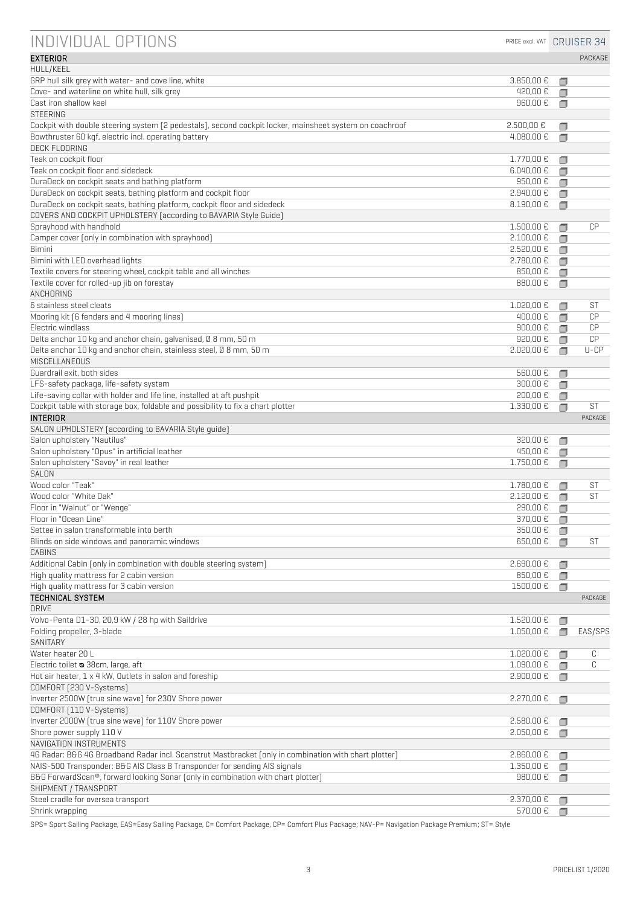| INDIVIDUAL OPTIONS                                                                                      | PRICE excl. VAT CRUISER 34 |             |           |
|---------------------------------------------------------------------------------------------------------|----------------------------|-------------|-----------|
| <b>EXTERIOR</b>                                                                                         |                            |             | PACKAGE   |
| HULL/KEEL                                                                                               |                            |             |           |
| GRP hull silk grey with water- and cove line, white<br>Cove- and waterline on white hull, silk grey     | 3.850,00 €<br>420.00€      | □<br>□      |           |
| Cast iron shallow keel                                                                                  | 960,00€                    | □           |           |
| <b>STEERING</b>                                                                                         |                            |             |           |
| Cockpit with double steering system [2 pedestals], second cockpit locker, mainsheet system on coachroof | $2.500,00 \text{ }€$       | □           |           |
| Bowthruster 60 kqf, electric incl. operating battery                                                    | $4.080,00 \text{ €}$       | □           |           |
| <b>DECK FLOORING</b>                                                                                    |                            |             |           |
| Teak on cockpit floor<br>Teak on cockpit floor and sidedeck                                             | 1.770,00 €<br>6.040,00 €   | ⊓           |           |
| DuraDeck on cockpit seats and bathing platform                                                          | 950,00€                    | ⊓<br>⊓      |           |
| DuraDeck on cockpit seats, bathing platform and cockpit floor                                           | 2.940,00 €                 | σ           |           |
| DuraDeck on cockpit seats, bathing platform, cockpit floor and sidedeck                                 | 8.190,00 €                 | $\Box$      |           |
| COVERS AND COCKPIT UPHOLSTERY (according to BAVARIA Style Guide)                                        |                            |             |           |
| Sprayhood with handhold                                                                                 | 1.500,00 €                 | ∩           | CP        |
| Camper cover [only in combination with sprayhood]                                                       | 2.100,00 €                 | Ω           |           |
| <b>Bimini</b>                                                                                           | 2.520,00 €                 | $\Box$      |           |
| Bimini with LED overhead lights<br>Textile covers for steering wheel, cockpit table and all winches     | 2.780,00 €<br>850,00€      | □<br>$\Box$ |           |
| Textile cover for rolled-up jib on forestay                                                             | 880.00€                    | ∩           |           |
| <b>ANCHORING</b>                                                                                        |                            |             |           |
| 6 stainless steel cleats                                                                                | 1.020.00 €                 |             | ST        |
| Mooring kit [6 fenders and 4 mooring lines]                                                             | 400.00€                    | ∩           | CP        |
| Electric windlass                                                                                       | 900,00€                    | ⊓           | CP        |
| Delta anchor 10 kq and anchor chain, galvanised, Ø 8 mm, 50 m                                           | 920,00€                    | ⊓           | CP        |
| Delta anchor 10 kg and anchor chain, stainless steel, Ø 8 mm, 50 m<br>MISCELLANEOUS                     | $2.020,00 \text{ }€$       | ∩           | $U$ -CP   |
| Guardrail exit, both sides                                                                              | 560,00€                    | Ω           |           |
| LFS-safety package, life-safety system                                                                  | 300,00€                    | ∩           |           |
| Life-saving collar with holder and life line, installed at aft pushpit                                  | 200,00€                    |             |           |
| Cockpit table with storage box, foldable and possibility to fix a chart plotter                         | 1.330,00 €                 | ∩           | ST        |
| <b>INTERIOR</b>                                                                                         |                            |             | PACKAGE   |
| SALON UPHOLSTERY [according to BAVARIA Style guide]                                                     |                            |             |           |
| Salon upholstery "Nautilus"<br>Salon upholstery "Opus" in artificial leather                            | 320,00€<br>450,00€         |             |           |
| Salon upholstery "Savoy" in real leather                                                                | 1.750,00 €                 | □<br>⊓      |           |
| SALON                                                                                                   |                            |             |           |
| Wood color "Teak"                                                                                       | 1.780,00 €                 |             | <b>ST</b> |
| Wood color "White Oak"                                                                                  | 2.120,00 €                 | ⊓           | ST        |
| Floor in "Walnut" or "Wenge"                                                                            | 290,00€                    | $\Box$      |           |
| Floor in "Ocean Line'                                                                                   | 370,00€                    | □           |           |
| Settee in salon transformable into berth                                                                | 350,00€                    | ⊓           |           |
| Blinds on side windows and panoramic windows<br><b>CABINS</b>                                           | 650,00€                    | ⊓           | ST        |
| Additional Cabin (only in combination with double steering system)                                      | 2.690,00 €                 |             |           |
| High quality mattress for 2 cabin version                                                               | 850,00€                    | σ           |           |
| High quality mattress for 3 cabin version                                                               | 1500,00€                   | □           |           |
| TECHNICAL SYSTEM                                                                                        |                            |             | PACKAGE   |
| <b>DRIVE</b>                                                                                            |                            |             |           |
| Volvo-Penta D1-30, 20,9 kW / 28 hp with Saildrive<br>Folding propeller, 3-blade                         | 1.520,00 €                 | □           |           |
| SANITARY                                                                                                | 1.050,00 €                 | ∩           | EAS/SPS   |
| Water heater 20 L                                                                                       | 1.020,00 €                 |             | С         |
| Electric toilet & 38cm, large, aft                                                                      | 1.090,00 €                 | □           | C         |
| Hot air heater, 1 x 4 kW, Outlets in salon and foreship                                                 | 2.900,00 €                 | □           |           |
| COMFORT [230 V-Systems]                                                                                 |                            |             |           |
| Inverter 2500W [true sine wave] for 230V Shore power                                                    | 2.270,00 €                 | ∩           |           |
| COMFORT [110 V-Systems]                                                                                 |                            |             |           |
| Inverter 2000W [true sine wave] for 110V Shore power                                                    | 2.580,00 €                 | ∩           |           |
| Shore power supply 110 V<br>NAVIGATION INSTRUMENTS                                                      | 2.050,00€                  | ⊓           |           |
| 4G Radar: B&G 4G Broadband Radar incl. Scanstrut Mastbracket [only in combination with chart plotter]   | 2.860,00€                  | □           |           |
| NAIS-500 Transponder: B&G AIS Class B Transponder for sending AIS signals                               | 1.350,00 €                 | ⊓           |           |
| B&G ForwardScan®, forward looking Sonar [only in combination with chart plotter]                        | 980,00€                    | ⊓           |           |
| SHIPMENT / TRANSPORT                                                                                    |                            |             |           |
| Steel cradle for oversea transport                                                                      | 2.370,00 €                 |             |           |
| Shrink wrapping                                                                                         | 570,00 €                   | ⊓           |           |

SPS= Sport Sailing Package, EAS=Easy Sailing Package, C= Comfort Package, CP= Comfort Plus Package; NAV-P= Navigation Package Premium; ST= Style